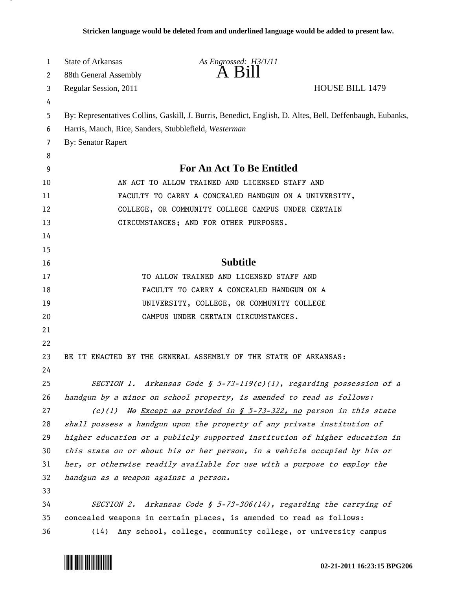| 1      | <b>State of Arkansas</b>                                                                                  | As Engrossed: H3/1/11<br>A B11                                              |                        |
|--------|-----------------------------------------------------------------------------------------------------------|-----------------------------------------------------------------------------|------------------------|
| 2      | 88th General Assembly                                                                                     |                                                                             |                        |
| 3      | Regular Session, 2011                                                                                     |                                                                             | <b>HOUSE BILL 1479</b> |
| 4      |                                                                                                           |                                                                             |                        |
| 5<br>6 | By: Representatives Collins, Gaskill, J. Burris, Benedict, English, D. Altes, Bell, Deffenbaugh, Eubanks, |                                                                             |                        |
| 7      | Harris, Mauch, Rice, Sanders, Stubblefield, Westerman<br><b>By: Senator Rapert</b>                        |                                                                             |                        |
| 8      |                                                                                                           |                                                                             |                        |
| 9      |                                                                                                           | For An Act To Be Entitled                                                   |                        |
| 10     |                                                                                                           | AN ACT TO ALLOW TRAINED AND LICENSED STAFF AND                              |                        |
| 11     |                                                                                                           | FACULTY TO CARRY A CONCEALED HANDGUN ON A UNIVERSITY,                       |                        |
| 12     |                                                                                                           | COLLEGE, OR COMMUNITY COLLEGE CAMPUS UNDER CERTAIN                          |                        |
| 13     |                                                                                                           | CIRCUMSTANCES; AND FOR OTHER PURPOSES.                                      |                        |
| 14     |                                                                                                           |                                                                             |                        |
| 15     |                                                                                                           |                                                                             |                        |
| 16     |                                                                                                           | <b>Subtitle</b>                                                             |                        |
| 17     |                                                                                                           | TO ALLOW TRAINED AND LICENSED STAFF AND                                     |                        |
| 18     |                                                                                                           | FACULTY TO CARRY A CONCEALED HANDGUN ON A                                   |                        |
| 19     |                                                                                                           | UNIVERSITY, COLLEGE, OR COMMUNITY COLLEGE                                   |                        |
| 20     |                                                                                                           | CAMPUS UNDER CERTAIN CIRCUMSTANCES.                                         |                        |
| 21     |                                                                                                           |                                                                             |                        |
| 22     |                                                                                                           |                                                                             |                        |
| 23     |                                                                                                           | BE IT ENACTED BY THE GENERAL ASSEMBLY OF THE STATE OF ARKANSAS:             |                        |
| 24     |                                                                                                           |                                                                             |                        |
| 25     | <i>SECTION 1.</i>                                                                                         | Arkansas Code § 5-73-119(c)(1), regarding possession of a                   |                        |
| 26     |                                                                                                           | handgun by a minor on school property, is amended to read as follows:       |                        |
| 27     |                                                                                                           | $(c)(1)$ No Except as provided in § 5-73-322, no person in this state       |                        |
| 28     |                                                                                                           | shall possess a handgun upon the property of any private institution of     |                        |
| 29     |                                                                                                           | higher education or a publicly supported institution of higher education in |                        |
| 30     |                                                                                                           | this state on or about his or her person, in a vehicle occupied by him or   |                        |
| 31     |                                                                                                           | her, or otherwise readily available for use with a purpose to employ the    |                        |
| 32     | handgun as a weapon against a person.                                                                     |                                                                             |                        |
| 33     |                                                                                                           |                                                                             |                        |
| 34     |                                                                                                           | SECTION 2. Arkansas Code § 5-73-306(14), regarding the carrying of          |                        |
| 35     |                                                                                                           | concealed weapons in certain places, is amended to read as follows:         |                        |
| 36     | (14)                                                                                                      | Any school, college, community college, or university campus                |                        |



.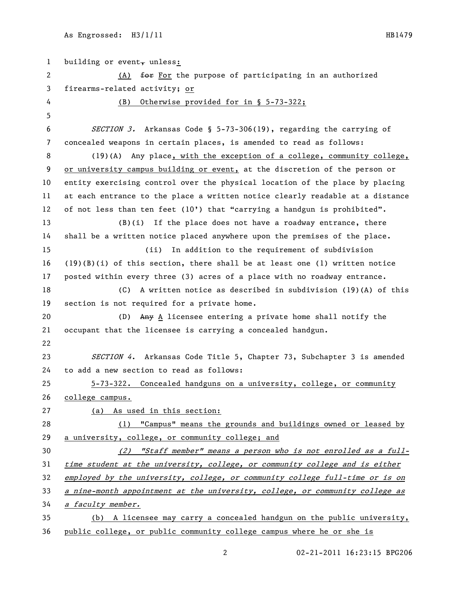| $\mathbf{1}$ | building or event, unless:                                                             |  |
|--------------|----------------------------------------------------------------------------------------|--|
| $\mathbf{2}$ | (A) for for the purpose of participating in an authorized                              |  |
| 3            | firearms-related activity; or                                                          |  |
| 4            | Otherwise provided for in § 5-73-322;<br>(B)                                           |  |
| 5            |                                                                                        |  |
| 6            | SECTION 3. Arkansas Code § 5-73-306(19), regarding the carrying of                     |  |
| 7            | concealed weapons in certain places, is amended to read as follows:                    |  |
| 8            | $(19)(A)$ Any place, with the exception of a college, community college,               |  |
| 9            | or university campus building or event, at the discretion of the person or             |  |
| 10           | entity exercising control over the physical location of the place by placing           |  |
| 11           | at each entrance to the place a written notice clearly readable at a distance          |  |
| 12           | of not less than ten feet $(10')$ that "carrying a handgun is prohibited".             |  |
| 13           | $(B)(i)$ If the place does not have a roadway entrance, there                          |  |
| 14           | shall be a written notice placed anywhere upon the premises of the place.              |  |
| 15           | In addition to the requirement of subdivision<br>(ii)                                  |  |
| 16           | $(19)(B)(i)$ of this section, there shall be at least one (1) written notice           |  |
| 17           | posted within every three (3) acres of a place with no roadway entrance.               |  |
| 18           | (C)<br>A written notice as described in subdivision $(19)(A)$ of this                  |  |
| 19           | section is not required for a private home.                                            |  |
| 20           | $\frac{\text{Any}}{\text{A}}$ licensee entering a private home shall notify the<br>(D) |  |
| 21           | occupant that the licensee is carrying a concealed handgun.                            |  |
| 22           |                                                                                        |  |
| 23           | SECTION 4. Arkansas Code Title 5, Chapter 73, Subchapter 3 is amended                  |  |
| 24           | to add a new section to read as follows:                                               |  |
| 25           | 5-73-322. Concealed handguns on a university, college, or community                    |  |
| 26           | college campus.                                                                        |  |
| 27           | (a) As used in this section:                                                           |  |
| 28           | (1) "Campus" means the grounds and buildings owned or leased by                        |  |
| 29           | a university, college, or community college; and                                       |  |
| 30           | (2) "Staff member" means a person who is not enrolled as a full-                       |  |
| 31           | time student at the university, college, or community college and is either            |  |
| 32           | employed by the university, college, or community college full-time or is on           |  |
| 33           | a nine-month appointment at the university, college, or community college as           |  |
| 34           | a faculty member.                                                                      |  |
| 35           | (b) A licensee may carry a concealed handgun on the public university,                 |  |
| 36           | public college, or public community college campus where he or she is                  |  |

02-21-2011 16:23:15 BPG206